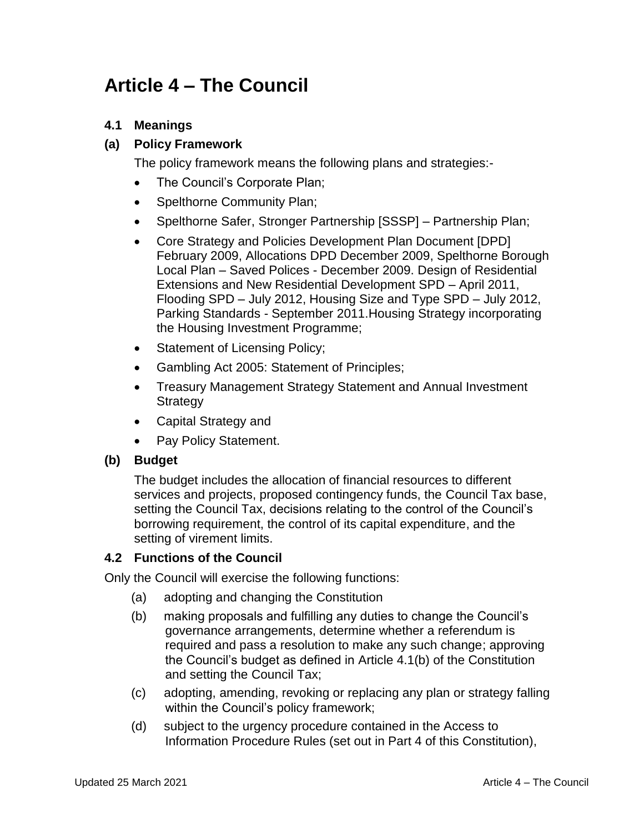# **Article 4 – The Council**

## **4.1 Meanings**

### **(a) Policy Framework**

The policy framework means the following plans and strategies:-

- The Council's Corporate Plan;
- Spelthorne Community Plan;
- Spelthorne Safer, Stronger Partnership [SSSP] Partnership Plan;
- Core Strategy and Policies Development Plan Document [DPD] February 2009, Allocations DPD December 2009, Spelthorne Borough Local Plan – Saved Polices - December 2009. Design of Residential Extensions and New Residential Development SPD – April 2011, Flooding SPD – July 2012, Housing Size and Type SPD – July 2012, Parking Standards - September 2011.Housing Strategy incorporating the Housing Investment Programme;
- Statement of Licensing Policy;
- Gambling Act 2005: Statement of Principles;
- Treasury Management Strategy Statement and Annual Investment **Strategy**
- Capital Strategy and
- Pay Policy Statement.

#### **(b) Budget**

The budget includes the allocation of financial resources to different services and projects, proposed contingency funds, the Council Tax base, setting the Council Tax, decisions relating to the control of the Council's borrowing requirement, the control of its capital expenditure, and the setting of virement limits.

#### **4.2 Functions of the Council**

Only the Council will exercise the following functions:

- (a) adopting and changing the Constitution
- (b) making proposals and fulfilling any duties to change the Council's governance arrangements, determine whether a referendum is required and pass a resolution to make any such change; approving the Council's budget as defined in Article 4.1(b) of the Constitution and setting the Council Tax;
- (c) adopting, amending, revoking or replacing any plan or strategy falling within the Council's policy framework;
- (d) subject to the urgency procedure contained in the Access to Information Procedure Rules (set out in Part 4 of this Constitution),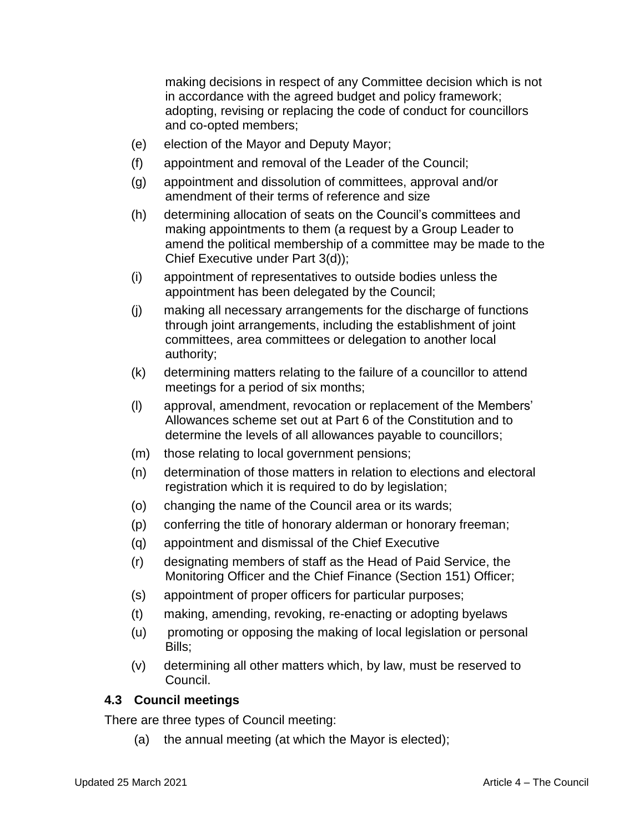making decisions in respect of any Committee decision which is not in accordance with the agreed budget and policy framework; adopting, revising or replacing the code of conduct for councillors and co-opted members;

- (e) election of the Mayor and Deputy Mayor;
- (f) appointment and removal of the Leader of the Council;
- (g) appointment and dissolution of committees, approval and/or amendment of their terms of reference and size
- (h) determining allocation of seats on the Council's committees and making appointments to them (a request by a Group Leader to amend the political membership of a committee may be made to the Chief Executive under Part 3(d));
- (i) appointment of representatives to outside bodies unless the appointment has been delegated by the Council;
- (j) making all necessary arrangements for the discharge of functions through joint arrangements, including the establishment of joint committees, area committees or delegation to another local authority;
- (k) determining matters relating to the failure of a councillor to attend meetings for a period of six months;
- (l) approval, amendment, revocation or replacement of the Members' Allowances scheme set out at Part 6 of the Constitution and to determine the levels of all allowances payable to councillors;
- (m) those relating to local government pensions;
- (n) determination of those matters in relation to elections and electoral registration which it is required to do by legislation;
- (o) changing the name of the Council area or its wards;
- (p) conferring the title of honorary alderman or honorary freeman;
- (q) appointment and dismissal of the Chief Executive
- (r) designating members of staff as the Head of Paid Service, the Monitoring Officer and the Chief Finance (Section 151) Officer;
- (s) appointment of proper officers for particular purposes;
- (t) making, amending, revoking, re-enacting or adopting byelaws
- (u) promoting or opposing the making of local legislation or personal Bills;
- (v) determining all other matters which, by law, must be reserved to Council.

## **4.3 Council meetings**

There are three types of Council meeting:

(a) the annual meeting (at which the Mayor is elected);